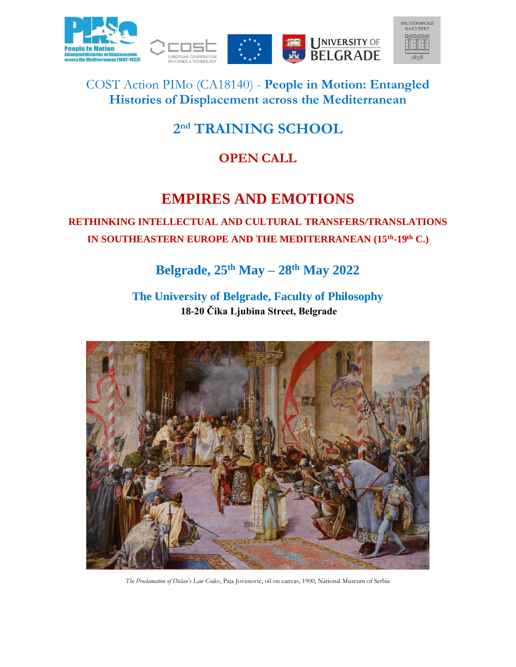





COST Action PIMo (CA18140) - **People in Motion: Entangled Histories of Displacement across the Mediterranean**

# **2 nd TRAINING SCHOOL**

## **OPEN CALL**

# **EMPIRES AND EMOTIONS**

## **RETHINKING INTELLECTUAL AND CULTURAL TRANSFERS/TRANSLATIONS IN SOUTHEASTERN EUROPE AND THE MEDITERRANEAN (15th -19th C.)**

# **Belgrade, 25th May – 28th May 2022**

**The University of Belgrade, Faculty of Philosophy 18-20 Čika Ljubina Street, Belgrade**



*The Proclamation of Dušan's Law Codex*, Paja Jovanović, oil on canvas, 1900, National Museum of Serbia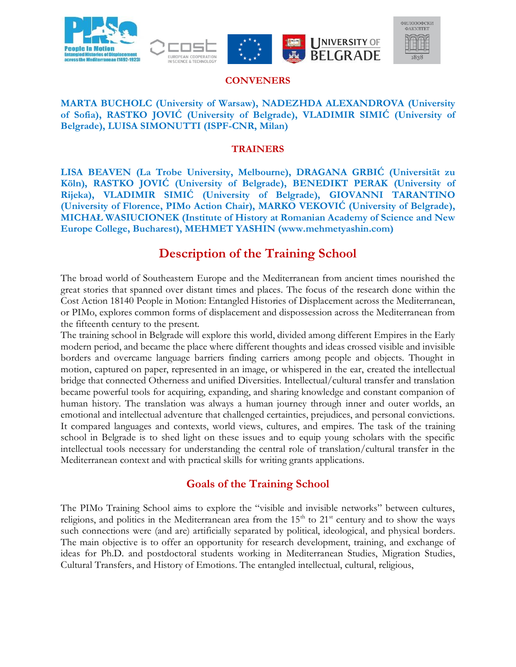







#### **CONVENERS**

#### **MARTA BUCHOLC (University of Warsaw), NADEZHDA ALEXANDROVA (University of Sofia), RASTKO JOVIĆ (University of Belgrade), VLADIMIR SIMIĆ (University of Belgrade), LUISA SIMONUTTI (ISPF-CNR, Milan)**

#### **TRAINERS**

**LISA BEAVEN (La Trobe University, Melbourne), DRAGANA GRBIĆ (Universität zu Köln), RASTKO JOVIĆ (University of Belgrade), BENEDIKT PERAK (University of Rijeka), VLADIMIR SIMIĆ (University of Belgrade), GIOVANNI TARANTINO (University of Florence, PIMo Action Chair), MARKO VEKOVIĆ (University of Belgrade), MICHAŁ WASIUCIONEK (Institute of History at Romanian Academy of Science and New Europe College, Bucharest), MEHMET YASHIN (www.mehmetyashin.com)**

## **Description of the Training School**

The broad world of Southeastern Europe and the Mediterranean from ancient times nourished the great stories that spanned over distant times and places. The focus of the research done within the Cost Action 18140 People in Motion: Entangled Histories of Displacement across the Mediterranean, or PIMo, explores common forms of displacement and dispossession across the Mediterranean from the fifteenth century to the present.

The training school in Belgrade will explore this world, divided among different Empires in the Early modern period, and became the place where different thoughts and ideas crossed visible and invisible borders and overcame language barriers finding carriers among people and objects. Thought in motion, captured on paper, represented in an image, or whispered in the ear, created the intellectual bridge that connected Otherness and unified Diversities. Intellectual/cultural transfer and translation became powerful tools for acquiring, expanding, and sharing knowledge and constant companion of human history. The translation was always a human journey through inner and outer worlds, an emotional and intellectual adventure that challenged certainties, prejudices, and personal convictions. It compared languages and contexts, world views, cultures, and empires. The task of the training school in Belgrade is to shed light on these issues and to equip young scholars with the specific intellectual tools necessary for understanding the central role of translation/cultural transfer in the Mediterranean context and with practical skills for writing grants applications.

### **Goals of the Training School**

The PIMo Training School aims to explore the "visible and invisible networks" between cultures, religions, and politics in the Mediterranean area from the 15<sup>th</sup> to 21<sup>st</sup> century and to show the ways such connections were (and are) artificially separated by political, ideological, and physical borders. The main objective is to offer an opportunity for research development, training, and exchange of ideas for Ph.D. and postdoctoral students working in Mediterranean Studies, Migration Studies, Cultural Transfers, and History of Emotions. The entangled intellectual, cultural, religious,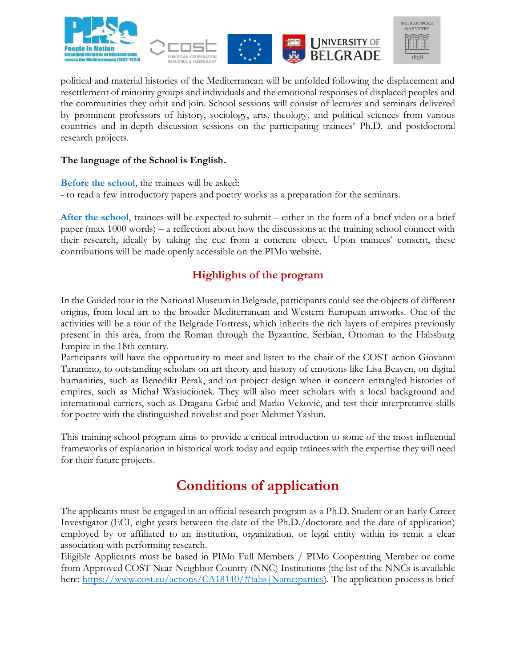





political and material histories of the Mediterranean will be unfolded following the displacement and resettlement of minority groups and individuals and the emotional responses of displaced peoples and the communities they orbit and join. School sessions will consist of lectures and seminars delivered by prominent professors of history, sociology, arts, theology, and political sciences from various countries and in-depth discussion sessions on the participating trainees' Ph.D. and postdoctoral research projects.

#### **The language of the School is English.**

**Before the school**, the trainees will be asked: - to read a few introductory papers and poetry works as a preparation for the seminars.

**After the school**, trainees will be expected to submit – either in the form of a brief video or a brief paper (max 1000 words) – a reflection about how the discussions at the training school connect with their research, ideally by taking the cue from a concrete object. Upon trainees' consent, these contributions will be made openly accessible on the PIMo website.

### **Highlights of the program**

In the Guided tour in the National Museum in Belgrade, participants could see the objects of different origins, from local art to the broader Mediterranean and Western European artworks. One of the activities will be a tour of the Belgrade Fortress, which inherits the rich layers of empires previously present in this area, from the Roman through the Byzantine, Serbian, Ottoman to the Habsburg Empire in the 18th century.

Participants will have the opportunity to meet and listen to the chair of the COST action Giovanni Tarantino, to outstanding scholars on art theory and history of emotions like Lisa Beaven, on digital humanities, such as Benedikt Perak, and on project design when it concern entangled histories of empires, such as Michał Wasiucionek. They will also meet scholars with a local background and international carriers, such as Dragana Grbić and Marko Veković, and test their interpretative skills for poetry with the distinguished novelist and poet Mehmet Yashin.

This training school program aims to provide a critical introduction to some of the most influential frameworks of explanation in historical work today and equip trainees with the expertise they will need for their future projects.

# **Conditions of application**

The applicants must be engaged in an official research program as a Ph.D. Student or an Early Career Investigator (ECI, eight years between the date of the Ph.D./doctorate and the date of application) employed by or affiliated to an institution, organization, or legal entity within its remit a clear association with performing research.

Eligible Applicants must be based in PIMo Full Members / PIMo Cooperating Member or come from Approved COST Near-Neighbor Country (NNC) Institutions (the list of the NNCs is available here: https://www.cost.eu/actions/CA18140/#tabs|Name:parties). The application process is brief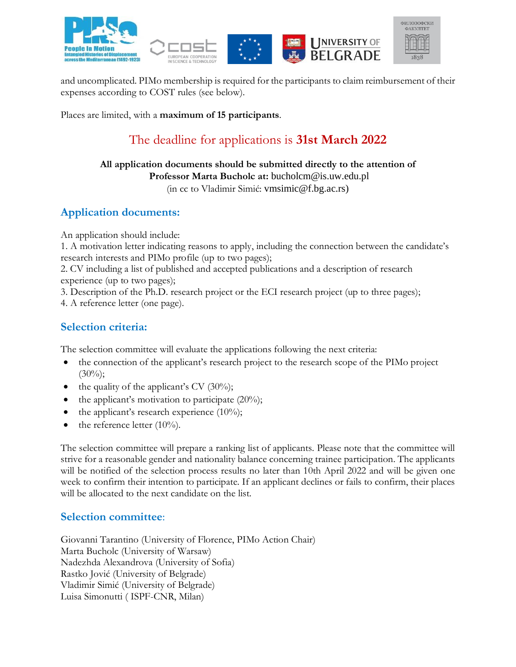







and uncomplicated. PIMo membership is required for the participants to claim reimbursement of their expenses according to COST rules (see below).

Places are limited, with a **maximum of 15 participants**.

## The deadline for applications is **31st March 2022**

#### **All application documents should be submitted directly to the attention of Professor Marta Bucholc at:** bucholcm@is.uw.edu.pl

(in cc to Vladimir Simić: vmsimic@f.bg.ac.rs)

## **Application documents:**

An application should include:

1. A motivation letter indicating reasons to apply, including the connection between the candidate's research interests and PIMo profile (up to two pages);

2. CV including a list of published and accepted publications and a description of research experience (up to two pages);

3. Description of the Ph.D. research project or the ECI research project (up to three pages);

4. A reference letter (one page).

### **Selection criteria:**

The selection committee will evaluate the applications following the next criteria:

- the connection of the applicant's research project to the research scope of the PIMo project  $(30\%)$ ;
- the quality of the applicant's CV  $(30\%)$ ;
- the applicant's motivation to participate  $(20\%)$ ;
- the applicant's research experience  $(10\%)$ ;
- the reference letter  $(10\%)$ .

The selection committee will prepare a ranking list of applicants. Please note that the committee will strive for a reasonable gender and nationality balance concerning trainee participation. The applicants will be notified of the selection process results no later than 10th April 2022 and will be given one week to confirm their intention to participate. If an applicant declines or fails to confirm, their places will be allocated to the next candidate on the list.

### **Selection committee**:

Giovanni Tarantino (University of Florence, PIMo Action Chair) Marta Bucholc (University of Warsaw) Nadezhda Alexandrova (University of Sofia) Rastko Jović (University of Belgrade) Vladimir Simić (University of Belgrade) Luisa Simonutti ( ISPF-CNR, Milan)